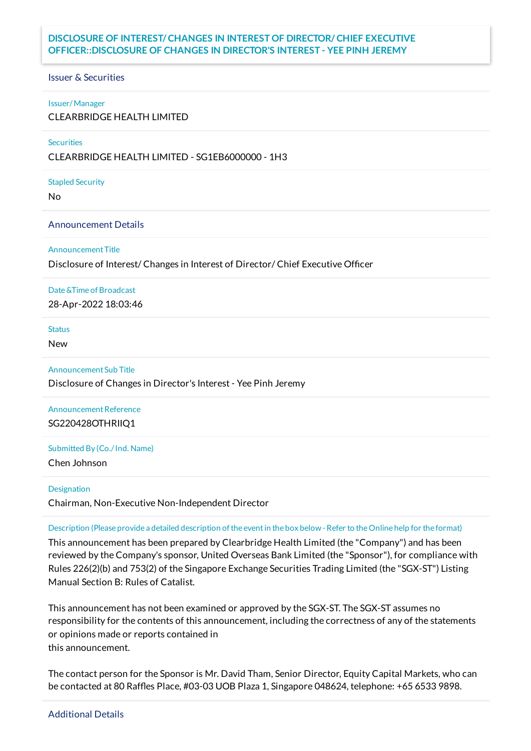## **DISCLOSURE OF INTEREST/ CHANGES IN INTEREST OF DIRECTOR/ CHIEF EXECUTIVE OFFICER::DISCLOSURE OF CHANGES IN DIRECTOR'S INTEREST - YEE PINH JEREMY**

#### Issuer & Securities

#### Issuer/Manager

CLEARBRIDGE HEALTH LIMITED

#### **Securities**

CLEARBRIDGE HEALTH LIMITED - SG1EB6000000 - 1H3

#### Stapled Security

No

#### Announcement Details

#### Announcement Title

Disclosure of Interest/ Changes in Interest of Director/ Chief Executive Officer

#### Date &Time of Broadcast

28-Apr-2022 18:03:46

#### **Status**

New

#### AnnouncementSub Title

Disclosure of Changes in Director's Interest - Yee Pinh Jeremy

# Announcement Reference SG220428OTHRIIQ1

### Submitted By (Co./Ind. Name)

Chen Johnson

#### **Designation**

Chairman, Non-Executive Non-Independent Director

#### Description (Please provide a detailed description of the event in the box below - Refer to the Online help for the format)

This announcement has been prepared by Clearbridge Health Limited (the "Company") and has been reviewed by the Company's sponsor, United Overseas Bank Limited (the "Sponsor"), for compliance with Rules 226(2)(b) and 753(2) of the Singapore Exchange Securities Trading Limited (the "SGX-ST") Listing Manual Section B: Rules of Catalist.

This announcement has not been examined or approved by the SGX-ST. The SGX-ST assumes no responsibility for the contents of this announcement, including the correctness of any of the statements or opinions made or reports contained in this announcement.

The contact person for the Sponsor is Mr. David Tham, Senior Director, Equity Capital Markets, who can be contacted at 80 Raffles Place, #03-03 UOB Plaza 1, Singapore 048624, telephone: +65 6533 9898.